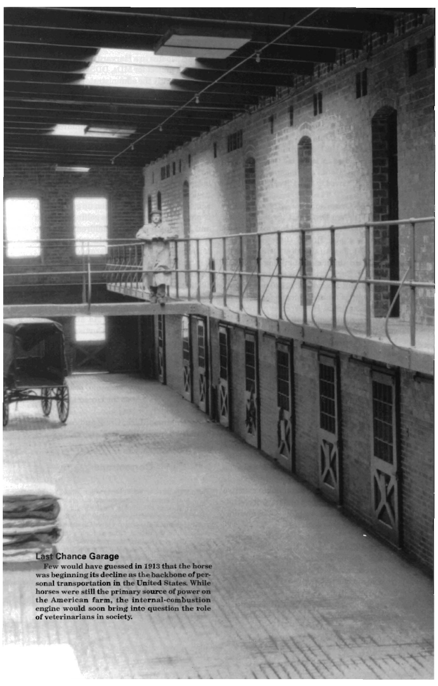## Last Chance Garage

Few would have guessed in 1913 Mat the horse was beginning its decline as the backbone of perhouses were still the primary source of power on<br>the American farm, the internal combustion<br>engine would soon bring into question the role<br>of veterinarians in society.

التقطيطية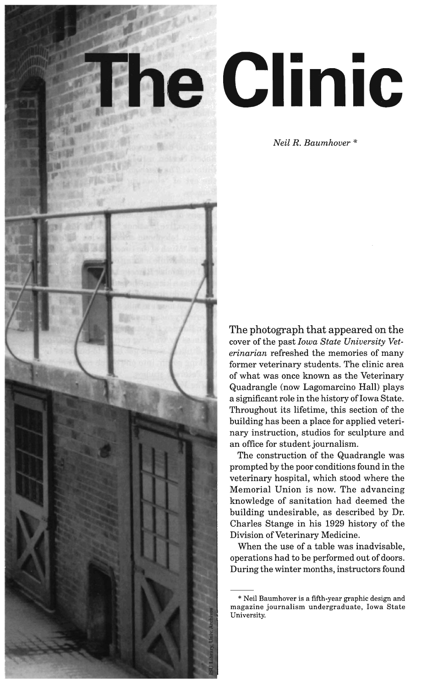

## • • **Inle**

*Neil R. Baumhover* \*

The photograph that appeared on the cover of the past *Iowa State University Veterinarian* refreshed the memories of many former veterinary students. The clinic area of what was once known as the Veterinary Quadrangle (now Lagomarcino Hall) plays a significant role in the history of Iowa State. Throughout its lifetime, this section of the building has been a place for applied veterinary instruction, studios for sculpture and an office for student journalism.

The construction of the Quadrangle was prompted by the poor conditions found in the veterinary hospital, which stood where the Memorial Union is now. The advancing knowledge of sanitation had deemed the building undesirable, as described by Dr. Charles Stange in his 1929 history of the Division of Veterinary Medicine.

When the use of a table was inadvisable, operations had to be performed out of doors. During the winter months, instructors found

<sup>\*</sup> Neil Baumhover is a fifth-year graphic design and magazine journalism undergraduate, Iowa State University.